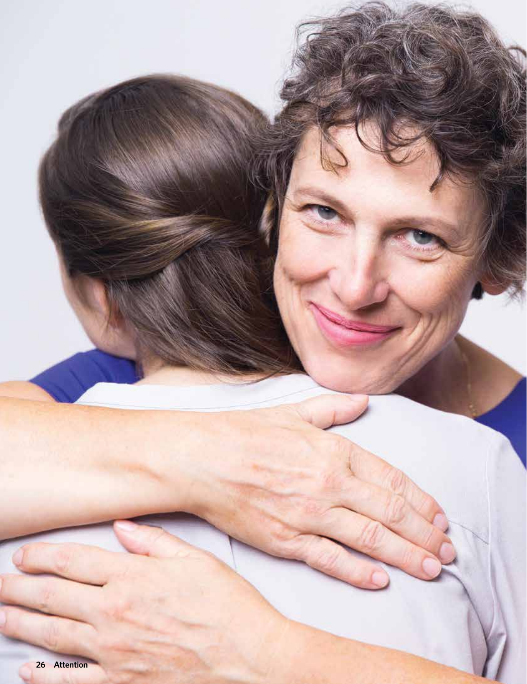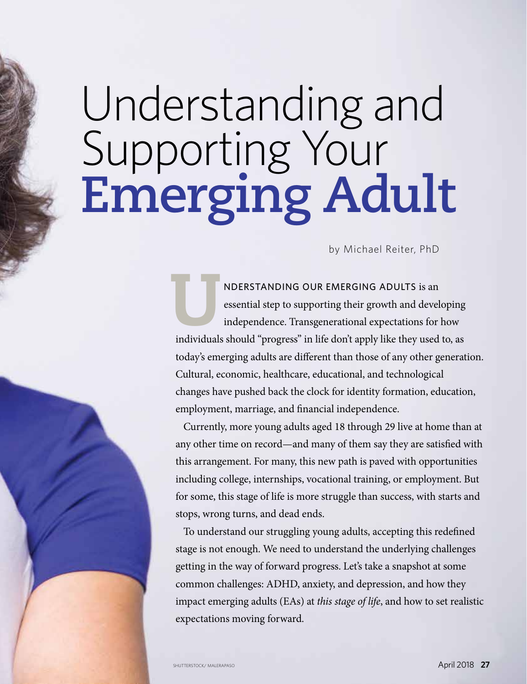## Understanding and Supporting Your **Emerging Adult**

by Michael Reiter, PhD

UNDERSTANDING OUR EMERGING ADULTS is an essential step to supporting their growth and developing independence. Transgenerational expectations for how individuals should "progress" in life don't apply like they used to, as today's emerging adults are different than those of any other generation. Cultural, economic, healthcare, educational, and technological changes have pushed back the clock for identity formation, education, employment, marriage, and financial independence.

Currently, more young adults aged 18 through 29 live at home than at any other time on record—and many of them say they are satisfied with this arrangement. For many, this new path is paved with opportunities including college, internships, vocational training, or employment. But for some, this stage of life is more struggle than success, with starts and stops, wrong turns, and dead ends.

To understand our struggling young adults, accepting this redefined stage is not enough. We need to understand the underlying challenges getting in the way of forward progress. Let's take a snapshot at some common challenges: ADHD, anxiety, and depression, and how they impact emerging adults (EAs) at *this stage of life*, and how to set realistic expectations moving forward.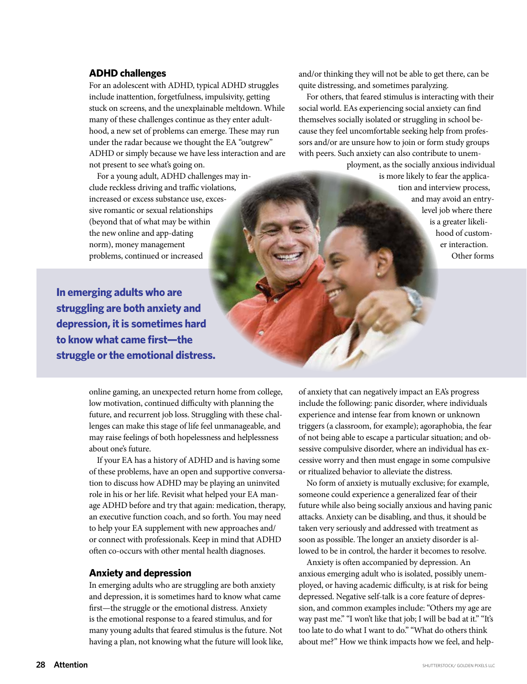## **ADHD challenges**

For an adolescent with ADHD, typical ADHD struggles include inattention, forgetfulness, impulsivity, getting stuck on screens, and the unexplainable meltdown. While many of these challenges continue as they enter adulthood, a new set of problems can emerge. These may run under the radar because we thought the EA "outgrew" ADHD or simply because we have less interaction and are not present to see what's going on.

For a young adult, ADHD challenges may include reckless driving and traffic violations, increased or excess substance use, excessive romantic or sexual relationships (beyond that of what may be within the new online and app-dating norm), money management problems, continued or increased

**In emerging adults who are struggling are both anxiety and depression, it is sometimes hard to know what came first—the struggle or the emotional distress.**  and/or thinking they will not be able to get there, can be quite distressing, and sometimes paralyzing.

For others, that feared stimulus is interacting with their social world. EAs experiencing social anxiety can find themselves socially isolated or struggling in school because they feel uncomfortable seeking help from professors and/or are unsure how to join or form study groups with peers. Such anxiety can also contribute to unem-

> ployment, as the socially anxious individual is more likely to fear the application and interview process,

and may avoid an entrylevel job where there is a greater likelihood of customer interaction. Other forms

online gaming, an unexpected return home from college, low motivation, continued difficulty with planning the future, and recurrent job loss. Struggling with these challenges can make this stage of life feel unmanageable, and may raise feelings of both hopelessness and helplessness about one's future.

If your EA has a history of ADHD and is having some of these problems, have an open and supportive conversation to discuss how ADHD may be playing an uninvited role in his or her life. Revisit what helped your EA manage ADHD before and try that again: medication, therapy, an executive function coach, and so forth. You may need to help your EA supplement with new approaches and/ or connect with professionals. Keep in mind that ADHD often co-occurs with other mental health diagnoses.

## **Anxiety and depression**

In emerging adults who are struggling are both anxiety and depression, it is sometimes hard to know what came first—the struggle or the emotional distress. Anxiety is the emotional response to a feared stimulus, and for many young adults that feared stimulus is the future. Not having a plan, not knowing what the future will look like, of anxiety that can negatively impact an EA's progress include the following: panic disorder, where individuals experience and intense fear from known or unknown triggers (a classroom, for example); agoraphobia, the fear of not being able to escape a particular situation; and obsessive compulsive disorder, where an individual has excessive worry and then must engage in some compulsive or ritualized behavior to alleviate the distress.

No form of anxiety is mutually exclusive; for example, someone could experience a generalized fear of their future while also being socially anxious and having panic attacks. Anxiety can be disabling, and thus, it should be taken very seriously and addressed with treatment as soon as possible. The longer an anxiety disorder is allowed to be in control, the harder it becomes to resolve.

Anxiety is often accompanied by depression. An anxious emerging adult who is isolated, possibly unemployed, or having academic difficulty, is at risk for being depressed. Negative self-talk is a core feature of depression, and common examples include: "Others my age are way past me." "I won't like that job; I will be bad at it." "It's too late to do what I want to do." "What do others think about me?" How we think impacts how we feel, and help